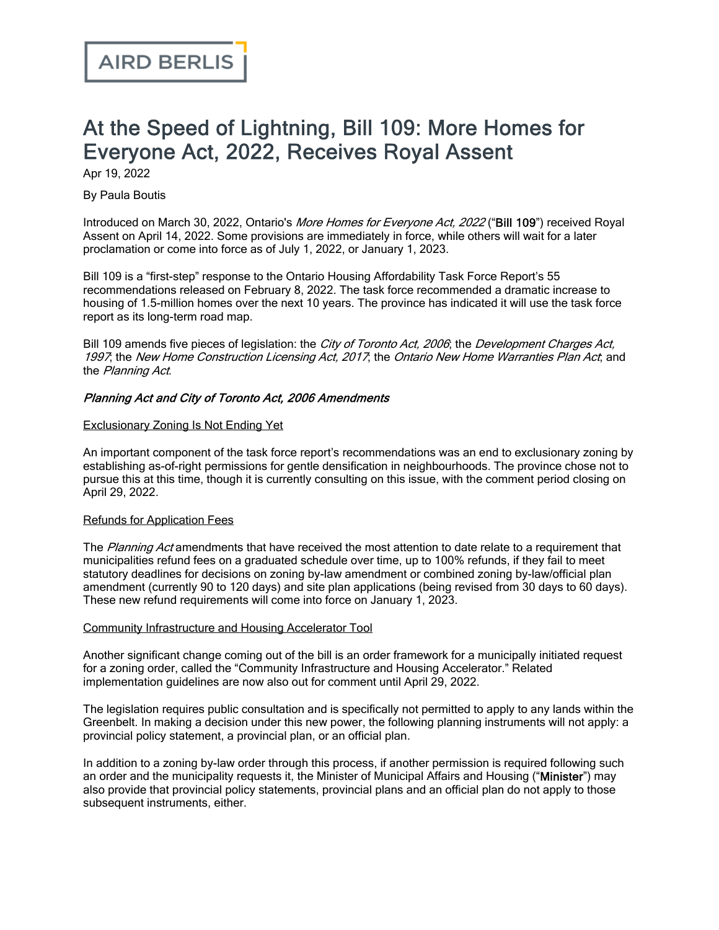# At the Speed of Lightning, Bill 109: More Homes for Everyone Act, 2022, Receives Royal Assent

Apr 19, 2022

By Paula Boutis

Introduced on March 30, 2022, Ontario's *More Homes for [Everyone](https://www.ola.org/en/legislative-business/bills/parliament-42/session-2/bill-109) Act, 2022* ("Bill 109") received Royal Assent on April 14, 2022. Some provisions are immediately in force, while others will wait for a later proclamation or come into force as of July 1, 2022, or January 1, 2023.

Bill 109 is a "first-step" response to the Ontario Housing [Affordability](https://www.ontario.ca/page/housing-affordability-task-force-report) Task Force Report's 55 recommendations released on February 8, 2022. The task force recommended a dramatic increase to housing of 1.5-million homes over the next 10 years. The province has indicated it will use the task force report as its long-term road map.

Bill 109 amends five pieces of legislation: the City of [Toronto](https://www.ontario.ca/laws/statute/06c11) Act, 2006; the [Development](https://www.ontario.ca/laws/statute/97d27) Charges Act, [1997](https://www.ontario.ca/laws/statute/97d27); the New Home [Construction](https://www.ontario.ca/laws/statute/17n33) Licensing Act, 2017; the Ontario New Home [Warranties](https://www.ontario.ca/laws/statute/90o31) Plan Act, and the [Planning](https://www.ontario.ca/laws/statute/90p13) Act.

# Planning Act and City of Toronto Act, 2006 Amendments

#### Exclusionary Zoning Is Not Ending Yet

An important component of the task force report's recommendations was an end to exclusionary zoning by establishing as-of-right permissions for gentle densification in neighbourhoods. The province chose not to pursue this at this time, though it is currently [consulting](https://ero.ontario.ca/notice/019-5286) on this issue, with the comment period closing on April 29, 2022.

# Refunds for Application Fees

The [Planning](https://www.ontario.ca/laws/statute/90p13) Act amendments that have received the most attention to date relate to a requirement that municipalities refund fees on a graduated schedule over time, up to 100% refunds, if they fail to meet statutory deadlines for decisions on zoning by-law amendment or combined zoning by-law/official plan amendment (currently 90 to 120 days) and site plan applications (being revised from 30 days to 60 days). These new refund requirements will come into force on January 1, 2023.

#### Community Infrastructure and Housing Accelerator Tool

Another significant change coming out of the bill is an order framework for a municipally initiated request for a zoning order, called the "Community Infrastructure and Housing Accelerator." [Related](https://ero.ontario.ca/notice/019-5285) [implementation](https://ero.ontario.ca/notice/019-5285) guidelines are now also out for comment until April 29, 2022.

The legislation requires public consultation and is specifically not permitted to apply to any lands within the Greenbelt. In making a decision under this new power, the following planning instruments will not apply: a provincial policy statement, a provincial plan, or an official plan.

In addition to a zoning by-law order through this process, if another permission is required following such an order and the municipality requests it, the Minister of Municipal Affairs and Housing ("Minister") may also provide that provincial policy statements, provincial plans and an official plan do not apply to those subsequent instruments, either.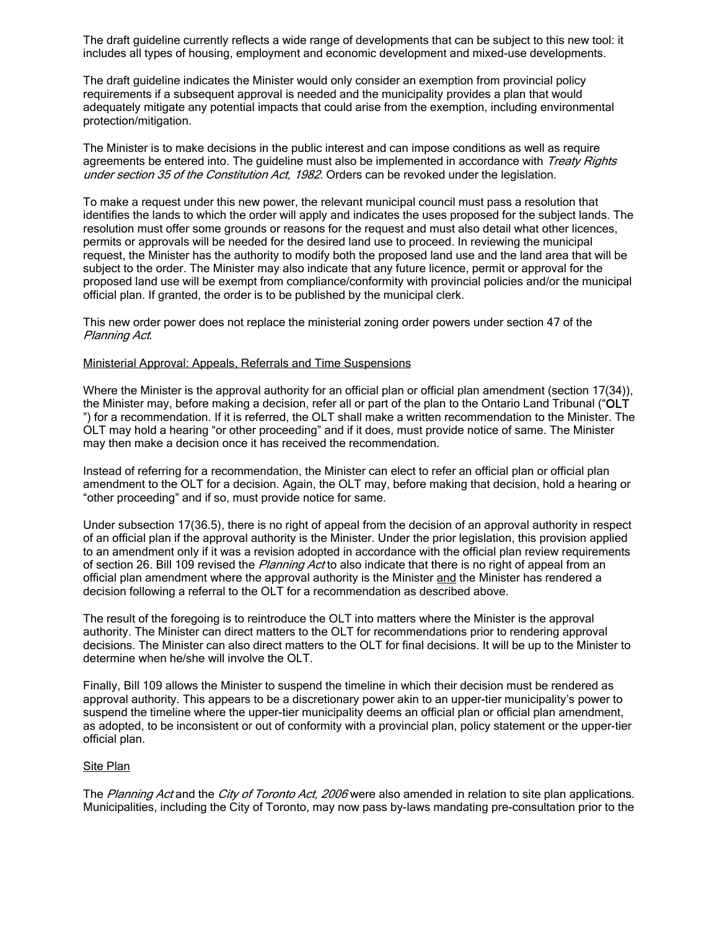The draft guideline currently reflects a wide range of developments that can be subject to this new tool: it includes all types of housing, employment and economic development and mixed-use developments.

The draft guideline indicates the Minister would only consider an exemption from provincial policy requirements if a subsequent approval is needed and the municipality provides a plan that would adequately mitigate any potential impacts that could arise from the exemption, including environmental protection/mitigation.

The Minister is to make decisions in the public interest and can impose conditions as well as require agreements be entered into. The guideline must also be implemented in accordance with [Treaty](https://laws-lois.justice.gc.ca/eng/const/page-13.html) Rights under section 35 of the [Constitution](https://laws-lois.justice.gc.ca/eng/const/page-13.html) Act, 1982. Orders can be revoked under the legislation.

To make a request under this new power, the relevant municipal council must pass a resolution that identifies the lands to which the order will apply and indicates the uses proposed for the subject lands. The resolution must offer some grounds or reasons for the request and must also detail what other licences, permits or approvals will be needed for the desired land use to proceed. In reviewing the municipal request, the Minister has the authority to modify both the proposed land use and the land area that will be subject to the order. The Minister may also indicate that any future licence, permit or approval for the proposed land use will be exempt from compliance/conformity with provincial policies and/or the municipal official plan. If granted, the order is to be published by the municipal clerk.

This new order power does not replace the ministerial zoning order powers under [section](https://www.ontario.ca/laws/statute/90p13#BK72) 47 of the Planning Act.

#### Ministerial Approval: Appeals, Referrals and Time Suspensions

Where the Minister is the approval authority for an official plan or official plan amendment ([section](https://www.canlii.org/en/on/laws/stat/rso-1990-c-p13/latest/rso-1990-c-p13.html#sec17subsec34) 17(34)), the Minister may, before making a decision, refer all or part of the plan to the Ontario Land Tribunal ("OLT ") for a recommendation. If it is referred, the OLT shall make a written recommendation to the Minister. The OLT may hold a hearing "or other proceeding" and if it does, must provide notice of same. The Minister may then make a decision once it has received the recommendation.

Instead of referring for a recommendation, the Minister can elect to refer an official plan or official plan amendment to the OLT for a decision. Again, the OLT may, before making that decision, hold a hearing or "other proceeding" and if so, must provide notice for same.

Under [subsection](https://www.canlii.org/en/on/laws/stat/rso-1990-c-p13/latest/rso-1990-c-p13.html#sec17subsec36.5) 17(36.5), there is no right of appeal from the decision of an approval authority in respect of an official plan if the approval authority is the Minister. Under the prior legislation, this provision applied to an amendment only if it was a revision adopted in accordance with the official plan review requirements of section 26. Bill 109 revised the Planning Act to also indicate that there is no right of appeal from an official plan amendment where the approval authority is the Minister and the Minister has rendered a decision following a referral to the OLT for a recommendation as described above.

The result of the foregoing is to reintroduce the OLT into matters where the Minister is the approval authority. The Minister can direct matters to the OLT for recommendations prior to rendering approval decisions. The Minister can also direct matters to the OLT for final decisions. It will be up to the Minister to determine when he/she will involve the OLT.

Finally, Bill 109 allows the Minister to suspend the timeline in which their decision must be rendered as approval authority. This appears to be a discretionary power akin to an upper-tier municipality's power to suspend the timeline where the upper-tier municipality deems an official plan or official plan amendment, as adopted, to be inconsistent or out of conformity with a provincial plan, policy statement or the upper-tier official plan.

#### **Site Plan**

The [Planning](https://www.ontario.ca/laws/statute/90p13) Act and the City of [Toronto](https://www.ontario.ca/laws/statute/06c11) Act, 2006 were also amended in relation to site plan applications. Municipalities, including the City of Toronto, may now pass by-laws mandating pre-consultation prior to the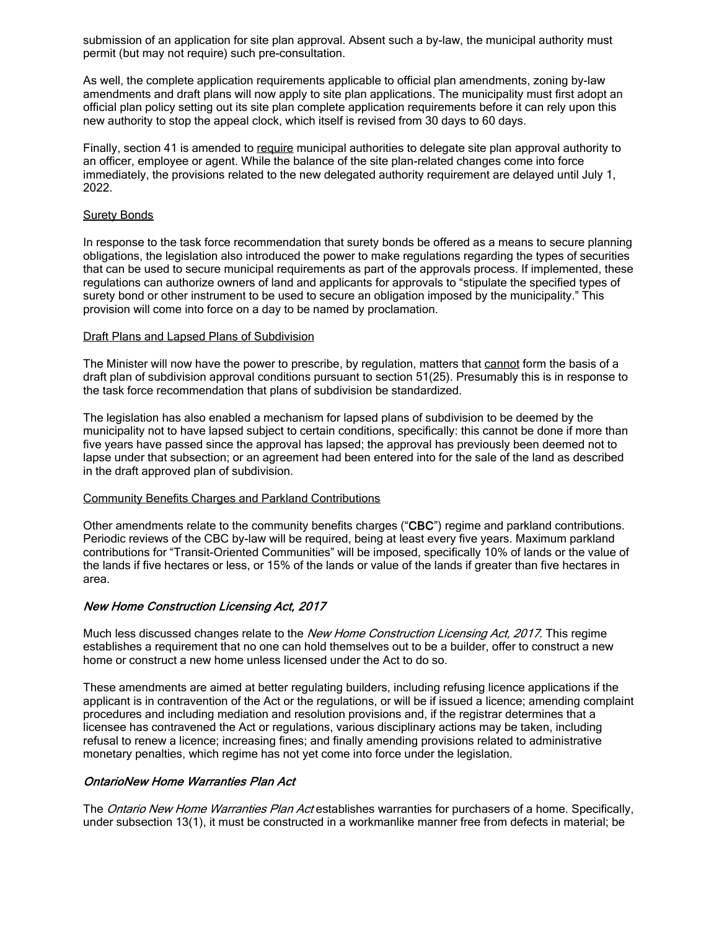submission of an application for site plan approval. Absent such a by-law, the municipal authority must permit (but may not require) such pre-consultation.

As well, the complete application requirements applicable to official plan amendments, zoning by-law amendments and draft plans will now apply to site plan applications. The municipality must first adopt an official plan policy setting out its site plan complete application requirements before it can rely upon this new authority to stop the appeal clock, which itself is revised from 30 days to 60 days.

Finally, section 41 is amended to require municipal authorities to delegate site plan approval authority to an officer, employee or agent. While the balance of the site plan-related changes come into force immediately, the provisions related to the new delegated authority requirement are delayed until July 1, 2022.

#### **Surety Bonds**

In response to the task force recommendation that surety bonds be offered as a means to secure planning obligations, the legislation also introduced the power to make regulations regarding the types of securities that can be used to secure municipal requirements as part of the approvals process. If implemented, these regulations can authorize owners of land and applicants for approvals to "stipulate the specified types of surety bond or other instrument to be used to secure an obligation imposed by the municipality." This provision will come into force on a day to be named by proclamation.

#### Draft Plans and Lapsed Plans of Subdivision

The Minister will now have the power to prescribe, by regulation, matters that cannot form the basis of a draft plan of subdivision approval conditions pursuant to [section](https://www.canlii.org/en/on/laws/stat/rso-1990-c-p13/latest/rso-1990-c-p13.html#sec51subsec25) 51(25). Presumably this is in response to the task force recommendation that plans of subdivision be standardized.

The legislation has also enabled a mechanism for lapsed plans of subdivision to be deemed by the municipality not to have lapsed subject to certain conditions, specifically: this cannot be done if more than five years have passed since the approval has lapsed; the approval has previously been deemed not to lapse under that subsection; or an agreement had been entered into for the sale of the land as described in the draft approved plan of subdivision.

# Community Benefits Charges and Parkland Contributions

Other amendments relate to the community benefits charges ("CBC") regime and parkland contributions. Periodic reviews of the CBC by-law will be required, being at least every five years. Maximum parkland contributions for "Transit-Oriented Communities" will be imposed, specifically 10% of lands or the value of the lands if five hectares or less, or 15% of the lands or value of the lands if greater than five hectares in area.

# New Home Construction Licensing Act, 2017

Much less discussed changes relate to the New Home [Construction](https://www.ontario.ca/laws/statute/17n33) Licensing Act, 2017. This regime establishes a requirement that no one can hold themselves out to be a builder, offer to construct a new home or construct a new home unless licensed under the Act to do so.

These amendments are aimed at better regulating builders, including refusing licence applications if the applicant is in contravention of the Act or the regulations, or will be if issued a licence; amending complaint procedures and including mediation and resolution provisions and, if the registrar determines that a licensee has contravened the Act or regulations, various disciplinary actions may be taken, including refusal to renew a licence; increasing fines; and finally amending provisions related to administrative monetary penalties, which regime has not yet come into force under the legislation.

# OntarioNew Home Warranties Plan Act

The *Ontario New Home [Warranties](https://www.canlii.org/en/on/laws/stat/rso-1990-c-o31/latest/rso-1990-c-o31.html) Plan Act* establishes warranties for purchasers of a home. Specifically, under [subsection](https://www.canlii.org/en/on/laws/stat/rso-1990-c-o31/latest/rso-1990-c-o31.html#Ontario_New_Home_Warranties_and_Protection_Plan__58985) 13(1), it must be constructed in a workmanlike manner free from defects in material; be